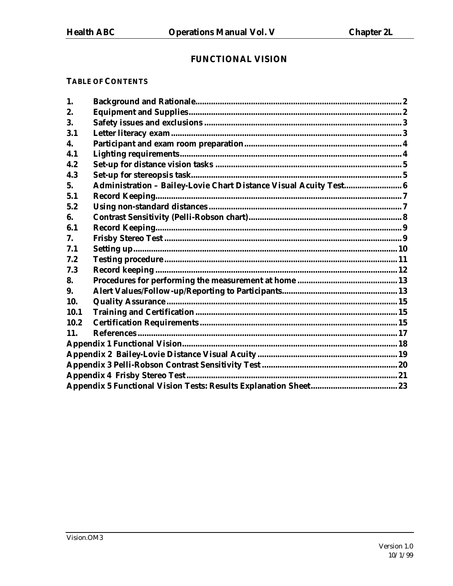# **FUNCTIONAL VISION**

# **TABLE OF CONTENTS**

| 1.   |                                                                   |  |
|------|-------------------------------------------------------------------|--|
| 2.   |                                                                   |  |
| 3.   |                                                                   |  |
| 3.1  |                                                                   |  |
| 4.   |                                                                   |  |
| 4.1  |                                                                   |  |
| 4.2  |                                                                   |  |
| 4.3  |                                                                   |  |
| 5.   | Administration - Bailey-Lovie Chart Distance Visual Acuity Test 6 |  |
| 5.1  |                                                                   |  |
| 5.2  |                                                                   |  |
| 6.   |                                                                   |  |
| 6.1  |                                                                   |  |
| 7.   |                                                                   |  |
| 7.1  |                                                                   |  |
| 7.2  |                                                                   |  |
| 7.3  |                                                                   |  |
| 8.   |                                                                   |  |
| 9.   |                                                                   |  |
| 10.  |                                                                   |  |
| 10.1 |                                                                   |  |
| 10.2 |                                                                   |  |
| 11.  |                                                                   |  |
|      |                                                                   |  |
|      |                                                                   |  |
|      |                                                                   |  |
|      |                                                                   |  |
|      |                                                                   |  |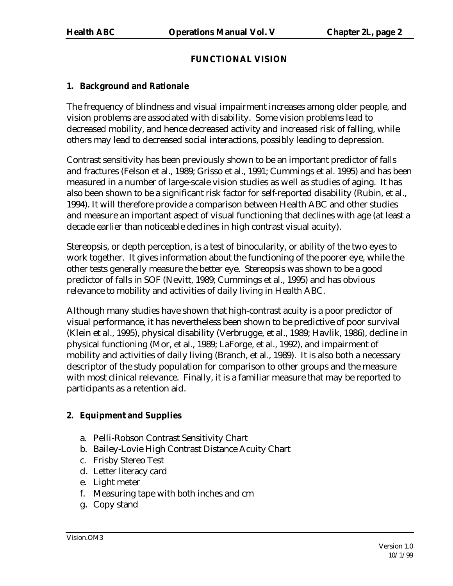# **FUNCTIONAL VISION**

# **1. Background and Rationale**

The frequency of blindness and visual impairment increases among older people, and vision problems are associated with disability. Some vision problems lead to decreased mobility, and hence decreased activity and increased risk of falling, while others may lead to decreased social interactions, possibly leading to depression.

Contrast sensitivity has been previously shown to be an important predictor of falls and fractures (Felson et al., 1989; Grisso et al., 1991; Cummings et al. 1995) and has been measured in a number of large-scale vision studies as well as studies of aging. It has also been shown to be a significant risk factor for self-reported disability (Rubin, et al., 1994). It will therefore provide a comparison between Health ABC and other studies and measure an important aspect of visual functioning that declines with age (at least a decade earlier than noticeable declines in high contrast visual acuity).

Stereopsis, or depth perception, is a test of binocularity, or ability of the two eyes to work together. It gives information about the functioning of the poorer eye, while the other tests generally measure the better eye. Stereopsis was shown to be a good predictor of falls in SOF (Nevitt, 1989; Cummings et al., 1995) and has obvious relevance to mobility and activities of daily living in Health ABC.

Although many studies have shown that high-contrast acuity is a poor predictor of visual performance, it has nevertheless been shown to be predictive of poor survival (Klein et al., 1995), physical disability (Verbrugge, et al., 1989; Havlik, 1986), decline in physical functioning (Mor, et al., 1989; LaForge, et al., 1992), and impairment of mobility and activities of daily living (Branch, et al., 1989). It is also both a necessary descriptor of the study population for comparison to other groups and the measure with most clinical relevance. Finally, it is a familiar measure that may be reported to participants as a retention aid.

# **2. Equipment and Supplies**

- a. Pelli-Robson Contrast Sensitivity Chart
- b. Bailey-Lovie High Contrast Distance Acuity Chart
- c. Frisby Stereo Test
- d. Letter literacy card
- e. Light meter
- f. Measuring tape with both inches and cm
- g. Copy stand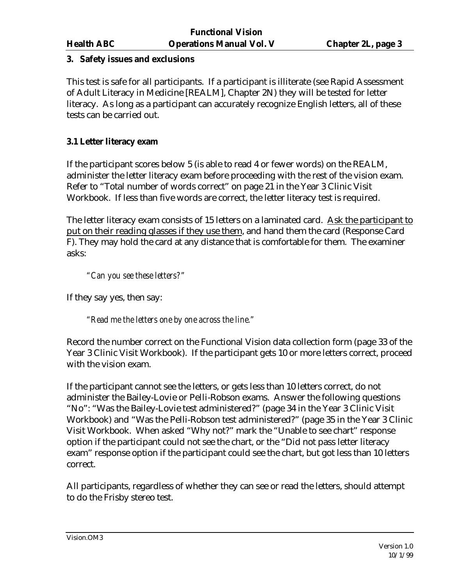# **3. Safety issues and exclusions**

This test is safe for all participants. If a participant is illiterate (see Rapid Assessment of Adult Literacy in Medicine [REALM], Chapter 2N) they will be tested for letter literacy. As long as a participant can accurately recognize English letters, all of these tests can be carried out.

# **3.1 Letter literacy exam**

If the participant scores below 5 (is able to read 4 or fewer words) on the REALM, administer the letter literacy exam before proceeding with the rest of the vision exam. Refer to "Total number of words correct" on page 21 in the Year 3 Clinic Visit Workbook. If less than five words are correct, the letter literacy test is required.

The letter literacy exam consists of 15 letters on a laminated card. Ask the participant to put on their reading glasses if they use them, and hand them the card (Response Card F). They may hold the card at any distance that is comfortable for them. The examiner asks:

*"Can you see these letters?"*

If they say yes, then say:

*"Read me the letters one by one across the line."*

Record the number correct on the Functional Vision data collection form (page 33 of the Year 3 Clinic Visit Workbook). If the participant gets 10 or more letters correct, proceed with the vision exam.

If the participant cannot see the letters, or gets less than 10 letters correct, do not administer the Bailey-Lovie or Pelli-Robson exams. Answer the following questions "No": "Was the Bailey-Lovie test administered?" (page 34 in the Year 3 Clinic Visit Workbook) and "Was the Pelli-Robson test administered?" (page 35 in the Year 3 Clinic Visit Workbook. When asked "Why not?" mark the "Unable to see chart" response option if the participant could not see the chart, or the "Did not pass letter literacy exam" response option if the participant could see the chart, but got less than 10 letters correct.

All participants, regardless of whether they can see or read the letters, should attempt to do the Frisby stereo test.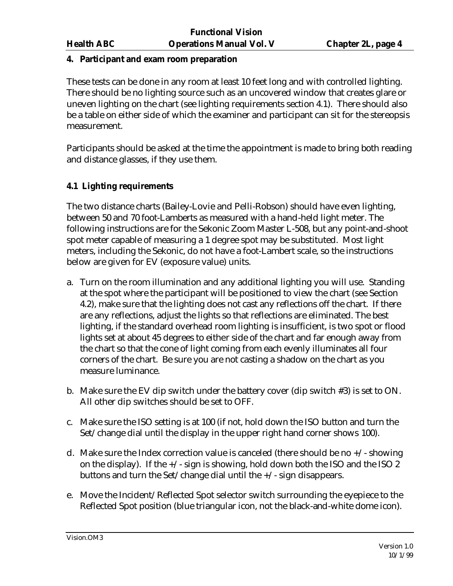#### **4. Participant and exam room preparation**

These tests can be done in any room at least 10 feet long and with controlled lighting. There should be no lighting source such as an uncovered window that creates glare or uneven lighting on the chart (see lighting requirements section 4.1). There should also be a table on either side of which the examiner and participant can sit for the stereopsis measurement.

Participants should be asked at the time the appointment is made to bring both reading and distance glasses, if they use them.

# **4.1 Lighting requirements**

The two distance charts (Bailey-Lovie and Pelli-Robson) should have even lighting, between 50 and 70 foot-Lamberts as measured with a hand-held light meter. The following instructions are for the Sekonic Zoom Master L-508, but any point-and-shoot spot meter capable of measuring a 1 degree spot may be substituted. Most light meters, including the Sekonic, do not have a foot-Lambert scale, so the instructions below are given for EV (exposure value) units.

- a. Turn on the room illumination and any additional lighting you will use. Standing at the spot where the participant will be positioned to view the chart (see Section 4.2), make sure that the lighting does not cast any reflections off the chart. If there are any reflections, adjust the lights so that reflections are eliminated. The best lighting, if the standard overhead room lighting is insufficient, is two spot or flood lights set at about 45 degrees to either side of the chart and far enough away from the chart so that the cone of light coming from each evenly illuminates all four corners of the chart. Be sure you are not casting a shadow on the chart as you measure luminance.
- b. Make sure the EV dip switch under the battery cover (dip switch #3) is set to ON. All other dip switches should be set to OFF.
- c. Make sure the ISO setting is at 100 (if not, hold down the ISO button and turn the Set/change dial until the display in the upper right hand corner shows 100).
- d. Make sure the Index correction value is canceled (there should be no  $+/-$  showing on the display). If the  $+\prime$ -sign is showing, hold down both the ISO and the ISO 2 buttons and turn the Set/change dial until the +/- sign disappears.
- e. Move the Incident/Reflected Spot selector switch surrounding the eyepiece to the Reflected Spot position (blue triangular icon, not the black-and-white dome icon).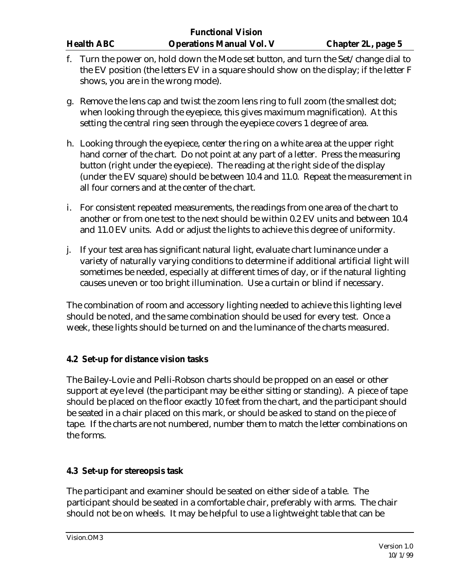- f. Turn the power on, hold down the Mode set button, and turn the Set/change dial to the EV position (the letters EV in a square should show on the display; if the letter F shows, you are in the wrong mode).
- g. Remove the lens cap and twist the zoom lens ring to full zoom (the smallest dot; when looking through the eyepiece, this gives maximum magnification). At this setting the central ring seen through the eyepiece covers 1 degree of area.
- h. Looking through the eyepiece, center the ring on a white area at the upper right hand corner of the chart. Do not point at any part of a letter. Press the measuring button (right under the eyepiece). The reading at the right side of the display (under the EV square) should be between 10.4 and 11.0. Repeat the measurement in all four corners and at the center of the chart.
- i. For consistent repeated measurements, the readings from one area of the chart to another or from one test to the next should be within 0.2 EV units and between 10.4 and 11.0 EV units. Add or adjust the lights to achieve this degree of uniformity.
- j. If your test area has significant natural light, evaluate chart luminance under a variety of naturally varying conditions to determine if additional artificial light will sometimes be needed, especially at different times of day, or if the natural lighting causes uneven or too bright illumination. Use a curtain or blind if necessary.

The combination of room and accessory lighting needed to achieve this lighting level should be noted, and the same combination should be used for every test. Once a week, these lights should be turned on and the luminance of the charts measured.

# **4.2 Set-up for distance vision tasks**

The Bailey-Lovie and Pelli-Robson charts should be propped on an easel or other support at eye level (the participant may be either sitting or standing). A piece of tape should be placed on the floor exactly 10 feet from the chart, and the participant should be seated in a chair placed on this mark, or should be asked to stand on the piece of tape. If the charts are not numbered, number them to match the letter combinations on the forms.

# **4.3 Set-up for stereopsis task**

The participant and examiner should be seated on either side of a table. The participant should be seated in a comfortable chair, preferably with arms. The chair should not be on wheels. It may be helpful to use a lightweight table that can be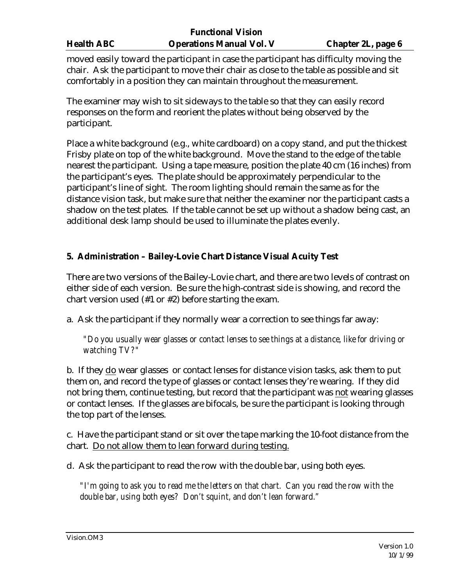moved easily toward the participant in case the participant has difficulty moving the chair. Ask the participant to move their chair as close to the table as possible and sit comfortably in a position they can maintain throughout the measurement.

The examiner may wish to sit sideways to the table so that they can easily record responses on the form and reorient the plates without being observed by the participant.

Place a white background (e.g., white cardboard) on a copy stand, and put the thickest Frisby plate on top of the white background. Move the stand to the edge of the table nearest the participant. Using a tape measure, position the plate 40 cm (16 inches) from the participant's eyes. The plate should be approximately perpendicular to the participant's line of sight. The room lighting should remain the same as for the distance vision task, but make sure that neither the examiner nor the participant casts a shadow on the test plates. If the table cannot be set up without a shadow being cast, an additional desk lamp should be used to illuminate the plates evenly.

# **5. Administration – Bailey-Lovie Chart Distance Visual Acuity Test**

There are two versions of the Bailey-Lovie chart, and there are two levels of contrast on either side of each version. Be sure the high-contrast side is showing, and record the chart version used (#1 or #2) before starting the exam.

a. Ask the participant if they normally wear a correction to see things far away:

*"Do you usually wear glasses or contact lenses to see things at a distance, like for driving or watching TV?"*

b. If they do wear glasses or contact lenses for distance vision tasks, ask them to put them on, and record the type of glasses or contact lenses they're wearing. If they did not bring them, continue testing, but record that the participant was not wearing glasses or contact lenses. If the glasses are bifocals, be sure the participant is looking through the top part of the lenses.

c. Have the participant stand or sit over the tape marking the 10-foot distance from the chart. Do not allow them to lean forward during testing.

d. Ask the participant to read the row with the double bar, using both eyes.

*"I'm going to ask you to read me the letters on that chart. Can you read the row with the double bar, using both eyes? Don't squint, and don't lean forward."*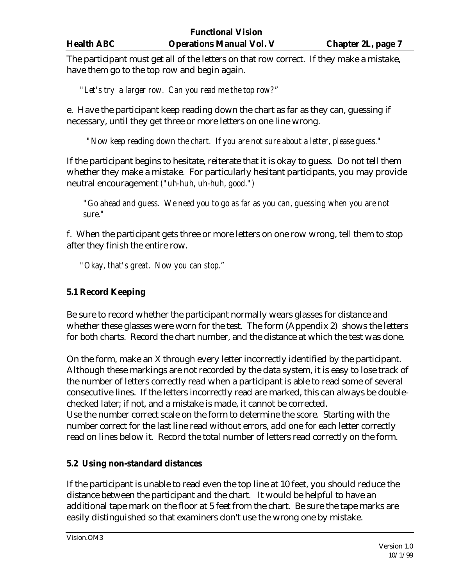The participant must get all of the letters on that row correct. If they make a mistake, have them go to the top row and begin again.

*"Let's try a larger row. Can you read me the top row?"*

e. Have the participant keep reading down the chart as far as they can, guessing if necessary, until they get three or more letters on one line wrong.

*"Now keep reading down the chart. If you are not sure about a letter, please guess."*

If the participant begins to hesitate, reiterate that it is okay to guess. Do not tell them whether they make a mistake. For particularly hesitant participants, you may provide neutral encouragement *("uh-huh, uh-huh, good.")*

*"Go ahead and guess. We need you to go as far as you can, guessing when you are not sure."*

f. When the participant gets three or more letters on one row wrong, tell them to stop after they finish the entire row.

*"Okay, that's great. Now you can stop."*

# **5.1 Record Keeping**

Be sure to record whether the participant normally wears glasses for distance and whether these glasses were worn for the test. The form (Appendix 2) shows the letters for both charts. Record the chart number, and the distance at which the test was done.

On the form, make an X through every letter incorrectly identified by the participant. Although these markings are not recorded by the data system, it is easy to lose track of the number of letters correctly read when a participant is able to read some of several consecutive lines. If the letters incorrectly read are marked, this can always be doublechecked later; if not, and a mistake is made, it cannot be corrected. Use the number correct scale on the form to determine the score. Starting with the number correct for the last line read without errors, add one for each letter correctly

read on lines below it. Record the total number of letters read correctly on the form.

# **5.2 Using non-standard distances**

If the participant is unable to read even the top line at 10 feet, you should reduce the distance between the participant and the chart. It would be helpful to have an additional tape mark on the floor at 5 feet from the chart. Be sure the tape marks are easily distinguished so that examiners don't use the wrong one by mistake.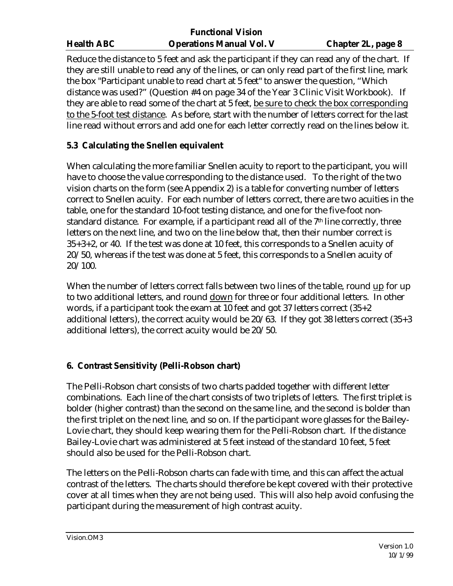|                   | <b>Functional Vision</b>        |                           |
|-------------------|---------------------------------|---------------------------|
| <b>Health ABC</b> | <b>Operations Manual Vol. V</b> | <b>Chapter 2L, page 8</b> |

Reduce the distance to 5 feet and ask the participant if they can read any of the chart. If they are still unable to read any of the lines, or can only read part of the first line, mark the box "Participant unable to read chart at 5 feet" to answer the question, "Which distance was used?" (Question #4 on page 34 of the Year 3 Clinic Visit Workbook). If they are able to read some of the chart at 5 feet, be sure to check the box corresponding to the 5-foot test distance. As before, start with the number of letters correct for the last line read without errors and add one for each letter correctly read on the lines below it.

# **5.3 Calculating the Snellen equivalent**

When calculating the more familiar Snellen acuity to report to the participant, you will have to choose the value corresponding to the distance used. To the right of the two vision charts on the form (see Appendix 2) is a table for converting number of letters correct to Snellen acuity. For each number of letters correct, there are two acuities in the table, one for the standard 10-foot testing distance, and one for the five-foot nonstandard distance. For example, if a participant read all of the 7<sup>th</sup> line correctly, three letters on the next line, and two on the line below that, then their number correct is 35+3+2, or 40. If the test was done at 10 feet, this corresponds to a Snellen acuity of 20/50, whereas if the test was done at 5 feet, this corresponds to a Snellen acuity of 20/100.

When the number of letters correct falls between two lines of the table, round up for up to two additional letters, and round down for three or four additional letters. In other words, if a participant took the exam at 10 feet and got 37 letters correct (35+2 additional letters), the correct acuity would be 20/63. If they got 38 letters correct (35+3 additional letters), the correct acuity would be 20/50.

# **6. Contrast Sensitivity (Pelli-Robson chart)**

The Pelli-Robson chart consists of two charts padded together with different letter combinations. Each line of the chart consists of two triplets of letters. The first triplet is bolder (higher contrast) than the second on the same line, and the second is bolder than the first triplet on the next line, and so on. If the participant wore glasses for the Bailey-Lovie chart, they should keep wearing them for the Pelli-Robson chart. If the distance Bailey-Lovie chart was administered at 5 feet instead of the standard 10 feet, 5 feet should also be used for the Pelli-Robson chart.

The letters on the Pelli-Robson charts can fade with time, and this can affect the actual contrast of the letters. The charts should therefore be kept covered with their protective cover at all times when they are not being used. This will also help avoid confusing the participant during the measurement of high contrast acuity.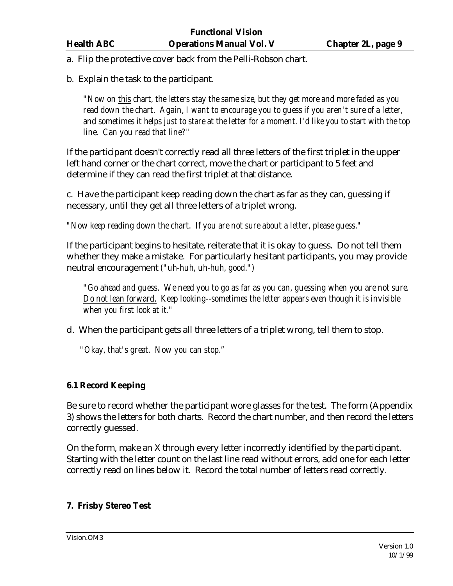a. Flip the protective cover back from the Pelli-Robson chart.

b. Explain the task to the participant.

*"Now on this chart, the letters stay the same size, but they get more and more faded as you read down the chart. Again, I want to encourage you to guess if you aren't sure of a letter, and sometimes it helps just to stare at the letter for a moment. I'd like you to start with the top line. Can you read that line?"* 

If the participant doesn't correctly read all three letters of the first triplet in the upper left hand corner or the chart correct, move the chart or participant to 5 feet and determine if they can read the first triplet at that distance.

c. Have the participant keep reading down the chart as far as they can, guessing if necessary, until they get all three letters of a triplet wrong.

*"Now keep reading down the chart. If you are not sure about a letter, please guess."*

If the participant begins to hesitate, reiterate that it is okay to guess. Do not tell them whether they make a mistake. For particularly hesitant participants, you may provide neutral encouragement *("uh-huh, uh-huh, good.")*

*"Go ahead and guess. We need you to go as far as you can, guessing when you are not sure. Do not lean forward. Keep looking--sometimes the letter appears even though it is invisible when you first look at it."*

d. When the participant gets all three letters of a triplet wrong, tell them to stop.

*"Okay, that's great. Now you can stop."*

# **6.1 Record Keeping**

Be sure to record whether the participant wore glasses for the test. The form (Appendix 3) shows the letters for both charts. Record the chart number, and then record the letters correctly guessed.

On the form, make an X through every letter incorrectly identified by the participant. Starting with the letter count on the last line read without errors, add one for each letter correctly read on lines below it. Record the total number of letters read correctly.

# **7. Frisby Stereo Test**

Vision.OM3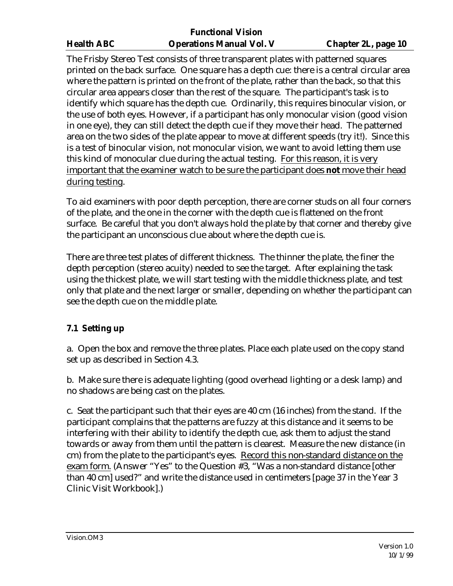The Frisby Stereo Test consists of three transparent plates with patterned squares printed on the back surface. One square has a depth cue: there is a central circular area where the pattern is printed on the front of the plate, rather than the back, so that this circular area appears closer than the rest of the square. The participant's task is to identify which square has the depth cue. Ordinarily, this requires binocular vision, or the use of both eyes. However, if a participant has only monocular vision (good vision in one eye), they can still detect the depth cue if they move their head. The patterned area on the two sides of the plate appear to move at different speeds (try it!). Since this is a test of binocular vision, not monocular vision, we want to avoid letting them use this kind of monocular clue during the actual testing. For this reason, it is very important that the examiner watch to be sure the participant does **not** move their head during testing.

To aid examiners with poor depth perception, there are corner studs on all four corners of the plate, and the one in the corner with the depth cue is flattened on the front surface. Be careful that you don't always hold the plate by that corner and thereby give the participant an unconscious clue about where the depth cue is.

There are three test plates of different thickness. The thinner the plate, the finer the depth perception (stereo acuity) needed to see the target. After explaining the task using the thickest plate, we will start testing with the middle thickness plate, and test only that plate and the next larger or smaller, depending on whether the participant can see the depth cue on the middle plate.

# **7.1 Setting up**

a. Open the box and remove the three plates. Place each plate used on the copy stand set up as described in Section 4.3.

b. Make sure there is adequate lighting (good overhead lighting or a desk lamp) and no shadows are being cast on the plates.

c. Seat the participant such that their eyes are 40 cm (16 inches) from the stand. If the participant complains that the patterns are fuzzy at this distance and it seems to be interfering with their ability to identify the depth cue, ask them to adjust the stand towards or away from them until the pattern is clearest. Measure the new distance (in cm) from the plate to the participant's eyes. Record this non-standard distance on the exam form. (Answer "Yes" to the Question #3, "Was a non-standard distance [other than 40 cm] used?" and write the distance used in centimeters [page 37 in the Year 3 Clinic Visit Workbook].)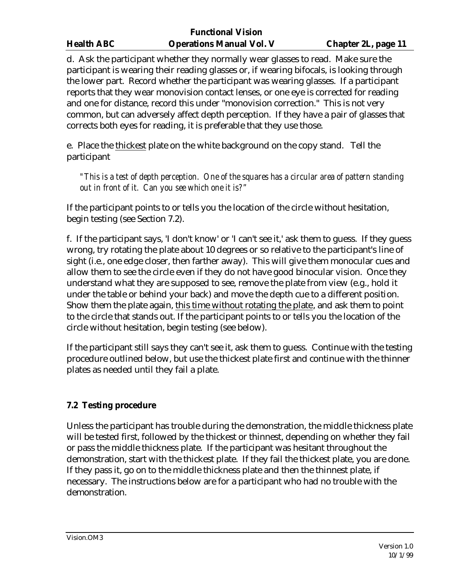d. Ask the participant whether they normally wear glasses to read. Make sure the participant is wearing their reading glasses or, if wearing bifocals, is looking through the lower part. Record whether the participant was wearing glasses. If a participant reports that they wear monovision contact lenses, or one eye is corrected for reading and one for distance, record this under "monovision correction." This is not very common, but can adversely affect depth perception. If they have a pair of glasses that corrects both eyes for reading, it is preferable that they use those.

e. Place the thickest plate on the white background on the copy stand. Tell the participant

*"This is a test of depth perception. One of the squares has a circular area of pattern standing out in front of it. Can you see which one it is?"* 

If the participant points to or tells you the location of the circle without hesitation, begin testing (see Section 7.2).

f. If the participant says, 'I don't know' or 'I can't see it,' ask them to guess. If they guess wrong, try rotating the plate about 10 degrees or so relative to the participant's line of sight (i.e., one edge closer, then farther away). This will give them monocular cues and allow them to see the circle even if they do not have good binocular vision. Once they understand what they are supposed to see, remove the plate from view (e.g., hold it under the table or behind your back) and move the depth cue to a different position. Show them the plate again, this time without rotating the plate, and ask them to point to the circle that stands out. If the participant points to or tells you the location of the circle without hesitation, begin testing (see below).

If the participant still says they can't see it, ask them to guess. Continue with the testing procedure outlined below, but use the thickest plate first and continue with the thinner plates as needed until they fail a plate.

# **7.2 Testing procedure**

Unless the participant has trouble during the demonstration, the middle thickness plate will be tested first, followed by the thickest or thinnest, depending on whether they fail or pass the middle thickness plate. If the participant was hesitant throughout the demonstration, start with the thickest plate. If they fail the thickest plate, you are done. If they pass it, go on to the middle thickness plate and then the thinnest plate, if necessary. The instructions below are for a participant who had no trouble with the demonstration.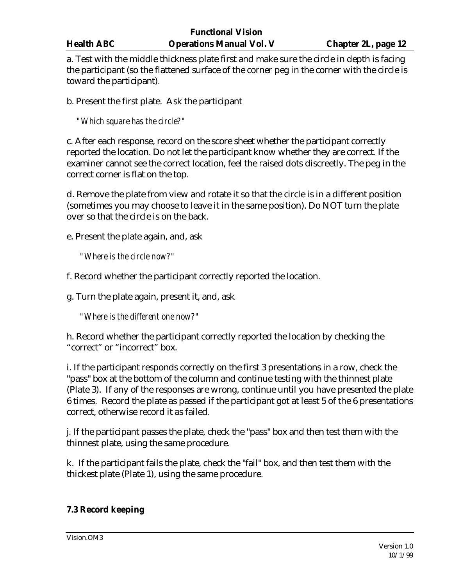a. Test with the middle thickness plate first and make sure the circle in depth is facing the participant (so the flattened surface of the corner peg in the corner with the circle is toward the participant).

b. Present the first plate. Ask the participant

*"Which square has the circle?"*

c. After each response, record on the score sheet whether the participant correctly reported the location. Do not let the participant know whether they are correct. If the examiner cannot see the correct location, feel the raised dots discreetly. The peg in the correct corner is flat on the top.

d. Remove the plate from view and rotate it so that the circle is in a different position (sometimes you may choose to leave it in the same position). Do NOT turn the plate over so that the circle is on the back.

e. Present the plate again, and, ask

*"Where is the circle now?"*

f. Record whether the participant correctly reported the location.

g. Turn the plate again, present it, and, ask

*"Where is the different one now?"*

h. Record whether the participant correctly reported the location by checking the "correct" or "incorrect" box.

i. If the participant responds correctly on the first 3 presentations in a row, check the "pass" box at the bottom of the column and continue testing with the thinnest plate (Plate 3). If any of the responses are wrong, continue until you have presented the plate 6 times. Record the plate as passed if the participant got at least 5 of the 6 presentations correct, otherwise record it as failed.

j. If the participant passes the plate, check the "pass" box and then test them with the thinnest plate, using the same procedure.

k. If the participant fails the plate, check the "fail" box, and then test them with the thickest plate (Plate 1), using the same procedure.

# **7.3 Record keeping**

Vision.OM3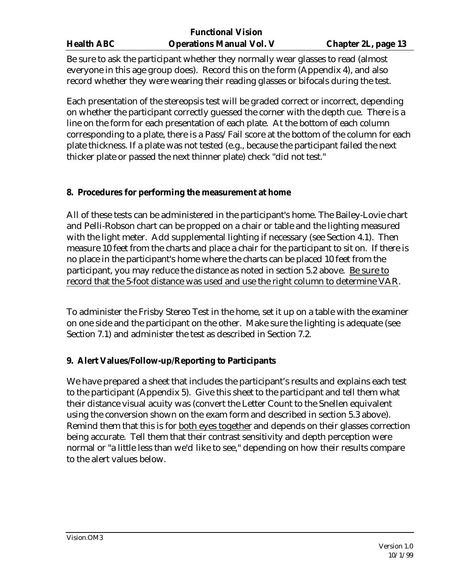Be sure to ask the participant whether they normally wear glasses to read (almost everyone in this age group does). Record this on the form (Appendix 4), and also record whether they were wearing their reading glasses or bifocals during the test.

Each presentation of the stereopsis test will be graded correct or incorrect, depending on whether the participant correctly guessed the corner with the depth cue. There is a line on the form for each presentation of each plate. At the bottom of each column corresponding to a plate, there is a Pass/Fail score at the bottom of the column for each plate thickness. If a plate was not tested (e.g., because the participant failed the next thicker plate or passed the next thinner plate) check "did not test."

### **8. Procedures for performing the measurement at home**

All of these tests can be administered in the participant's home. The Bailey-Lovie chart and Pelli-Robson chart can be propped on a chair or table and the lighting measured with the light meter. Add supplemental lighting if necessary (see Section 4.1). Then measure 10 feet from the charts and place a chair for the participant to sit on. If there is no place in the participant's home where the charts can be placed 10 feet from the participant, you may reduce the distance as noted in section 5.2 above. Be sure to record that the 5-foot distance was used and use the right column to determine VAR.

To administer the Frisby Stereo Test in the home, set it up on a table with the examiner on one side and the participant on the other. Make sure the lighting is adequate (see Section 7.1) and administer the test as described in Section 7.2.

#### **9. Alert Values/Follow-up/Reporting to Participants**

We have prepared a sheet that includes the participant's results and explains each test to the participant (Appendix 5). Give this sheet to the participant and tell them what their distance visual acuity was (convert the Letter Count to the Snellen equivalent using the conversion shown on the exam form and described in section 5.3 above). Remind them that this is for both eyes together and depends on their glasses correction being accurate. Tell them that their contrast sensitivity and depth perception were normal or "a little less than we'd like to see," depending on how their results compare to the alert values below.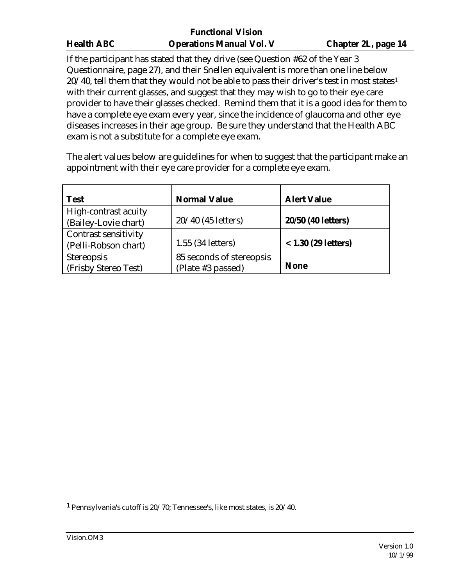|                   | <b>Functional Vision</b>        |                            |
|-------------------|---------------------------------|----------------------------|
| <b>Health ABC</b> | <b>Operations Manual Vol. V</b> | <b>Chapter 2L, page 14</b> |

If the participant has stated that they drive (see Question #62 of the Year 3 Questionnaire, page 27), and their Snellen equivalent is more than one line below  $20/40$ , tell them that they would not be able to pass their driver's test in most states<sup>1</sup> with their current glasses, and suggest that they may wish to go to their eye care provider to have their glasses checked. Remind them that it is a good idea for them to have a complete eye exam every year, since the incidence of glaucoma and other eye diseases increases in their age group. Be sure they understand that the Health ABC exam is not a substitute for a complete eye exam.

The alert values below are guidelines for when to suggest that the participant make an appointment with their eye care provider for a complete eye exam.

| <b>Test</b>                                         | <b>Normal Value</b>                           | <b>Alert Value</b>    |
|-----------------------------------------------------|-----------------------------------------------|-----------------------|
| High-contrast acuity<br>(Bailey-Lovie chart)        | 20/40 (45 letters)                            | 20/50 (40 letters)    |
| <b>Contrast sensitivity</b><br>(Pelli-Robson chart) | 1.55 (34 letters)                             | $< 1.30$ (29 letters) |
| Stereopsis<br>(Frisby Stereo Test)                  | 85 seconds of stereopsis<br>(Plate #3 passed) | <b>None</b>           |

 $\overline{a}$ 

<sup>1</sup> Pennsylvania's cutoff is 20/70; Tennessee's, like most states, is 20/40.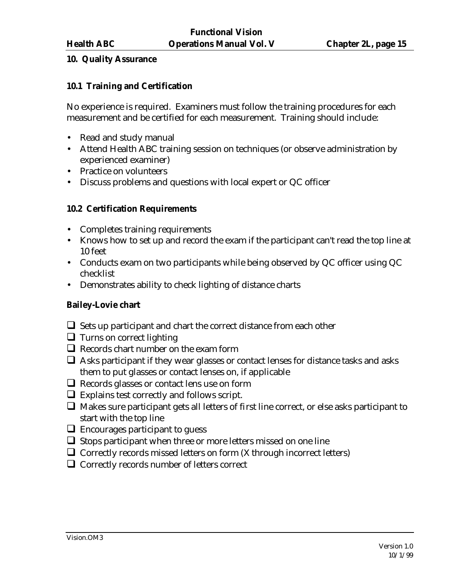#### **10. Quality Assurance**

### **10.1 Training and Certification**

No experience is required. Examiners must follow the training procedures for each measurement and be certified for each measurement. Training should include:

- Read and study manual
- Attend Health ABC training session on techniques (or observe administration by experienced examiner)
- Practice on volunteers
- Discuss problems and questions with local expert or QC officer

### **10.2 Certification Requirements**

- Completes training requirements
- Knows how to set up and record the exam if the participant can't read the top line at 10 feet
- Conducts exam on two participants while being observed by QC officer using QC checklist
- Demonstrates ability to check lighting of distance charts

#### **Bailey-Lovie chart**

- $\Box$  Sets up participant and chart the correct distance from each other
- $\Box$  Turns on correct lighting
- $\Box$  Records chart number on the exam form
- $\Box$  Asks participant if they wear glasses or contact lenses for distance tasks and asks them to put glasses or contact lenses on, if applicable
- $\Box$  Records glasses or contact lens use on form
- $\Box$  Explains test correctly and follows script.
- $\Box$  Makes sure participant gets all letters of first line correct, or else asks participant to start with the top line
- $\Box$  Encourages participant to guess
- $\Box$  Stops participant when three or more letters missed on one line
- $\Box$  Correctly records missed letters on form (X through incorrect letters)
- $\Box$  Correctly records number of letters correct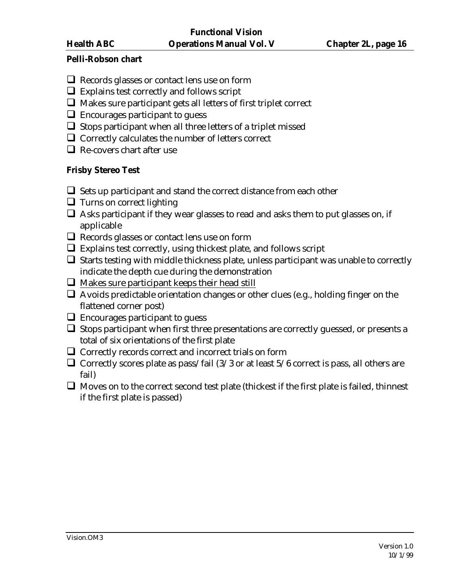### **Pelli-Robson chart**

- $\Box$  Records glasses or contact lens use on form
- $\Box$  Explains test correctly and follows script
- $\Box$  Makes sure participant gets all letters of first triplet correct
- $\Box$  Encourages participant to guess
- $\Box$  Stops participant when all three letters of a triplet missed
- $\Box$  Correctly calculates the number of letters correct
- $\Box$  Re-covers chart after use

# **Frisby Stereo Test**

- $\Box$  Sets up participant and stand the correct distance from each other
- $\Box$  Turns on correct lighting
- $\Box$  Asks participant if they wear glasses to read and asks them to put glasses on, if applicable
- $\Box$  Records glasses or contact lens use on form
- $\Box$  Explains test correctly, using thickest plate, and follows script
- $\Box$  Starts testing with middle thickness plate, unless participant was unable to correctly indicate the depth cue during the demonstration
- $\Box$  Makes sure participant keeps their head still
- $\Box$  Avoids predictable orientation changes or other clues (e.g., holding finger on the flattened corner post)
- $\Box$  Encourages participant to guess
- $\Box$  Stops participant when first three presentations are correctly guessed, or presents a total of six orientations of the first plate
- $\Box$  Correctly records correct and incorrect trials on form
- $\Box$  Correctly scores plate as pass/fail (3/3 or at least 5/6 correct is pass, all others are fail)
- $\Box$  Moves on to the correct second test plate (thickest if the first plate is failed, thinnest if the first plate is passed)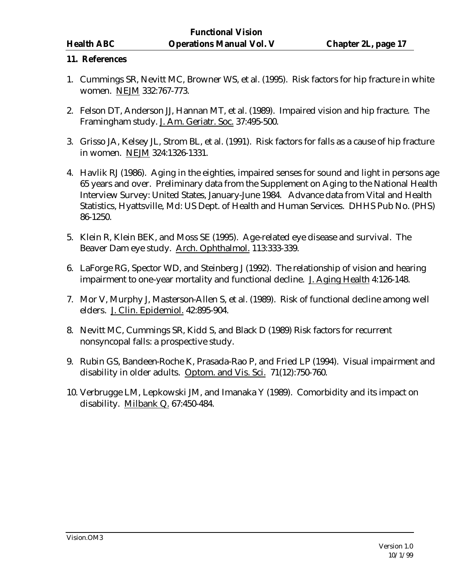#### **11. References**

- 1. Cummings SR, Nevitt MC, Browner WS, et al. (1995). Risk factors for hip fracture in white women. NEJM 332:767-773.
- 2. Felson DT, Anderson JJ, Hannan MT, et al. (1989). Impaired vision and hip fracture. The Framingham study. J. Am. Geriatr. Soc. 37:495-500.
- 3. Grisso JA, Kelsey JL, Strom BL, et al. (1991). Risk factors for falls as a cause of hip fracture in women. NEJM 324:1326-1331.
- 4. Havlik RJ (1986). Aging in the eighties, impaired senses for sound and light in persons age 65 years and over. Preliminary data from the Supplement on Aging to the National Health Interview Survey: United States, January-June 1984. Advance data from Vital and Health Statistics, Hyattsville, Md: US Dept. of Health and Human Services. DHHS Pub No. (PHS) 86-1250.
- 5. Klein R, Klein BEK, and Moss SE (1995). Age-related eye disease and survival. The Beaver Dam eye study. Arch. Ophthalmol. 113:333-339.
- 6. LaForge RG, Spector WD, and Steinberg J (1992). The relationship of vision and hearing impairment to one-year mortality and functional decline. J. Aging Health 4:126-148.
- 7. Mor V, Murphy J, Masterson-Allen S, et al. (1989). Risk of functional decline among well elders. J. Clin. Epidemiol. 42:895-904.
- 8. Nevitt MC, Cummings SR, Kidd S, and Black D (1989) Risk factors for recurrent nonsyncopal falls: a prospective study.
- 9. Rubin GS, Bandeen-Roche K, Prasada-Rao P, and Fried LP (1994). Visual impairment and disability in older adults. Optom. and Vis. Sci. 71(12):750-760.
- 10. Verbrugge LM, Lepkowski JM, and Imanaka Y (1989). Comorbidity and its impact on disability. Milbank Q. 67:450-484.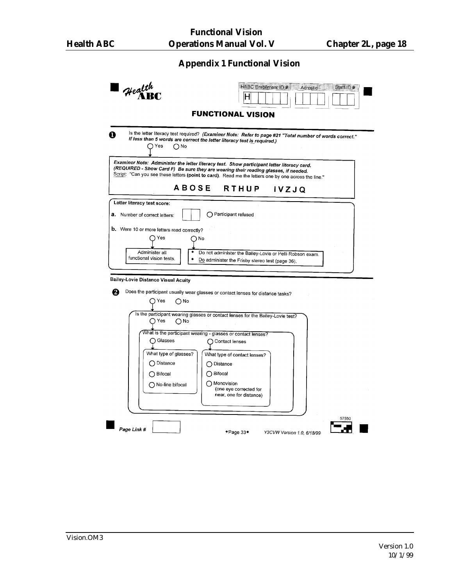# **Appendix 1 Functional Vision**

| Health                                                                                                                                                                                                                                                                                    | HABC Enrolment ID #<br>Staff ID #<br>Acrostic                                                            |
|-------------------------------------------------------------------------------------------------------------------------------------------------------------------------------------------------------------------------------------------------------------------------------------------|----------------------------------------------------------------------------------------------------------|
| <b>FUNCTIONAL VISION</b>                                                                                                                                                                                                                                                                  |                                                                                                          |
| If less than 5 words are correct the letter literacy test is required.)<br>∩Yes<br>∩No                                                                                                                                                                                                    | Is the letter literacy test required? (Examiner Note: Refer to page #21 "Total number of words correct." |
| Examiner Note: Administer the letter literacy test. Show participant letter literacy card.<br>(REQUIRED - Show Card F) Be sure they are wearing their reading glasses, if needed.<br>Script: "Can you see these letters (point to card). Read me the letters one by one across the line." |                                                                                                          |
| <b>ABOSE</b>                                                                                                                                                                                                                                                                              | RTHUP<br><b>IVZJQ</b>                                                                                    |
| Letter literacy test score:                                                                                                                                                                                                                                                               |                                                                                                          |
| $\bigcirc$ Participant refused<br><b>a.</b> Number of correct letters:                                                                                                                                                                                                                    |                                                                                                          |
| <b>b.</b> Were 10 or more letters read correctly?                                                                                                                                                                                                                                         |                                                                                                          |
| つ Yes<br>() No                                                                                                                                                                                                                                                                            |                                                                                                          |
|                                                                                                                                                                                                                                                                                           |                                                                                                          |
| Administer all<br>functional vision tests.                                                                                                                                                                                                                                                | Do not administer the Bailey-Lovie or Pelli-Robson exam.                                                 |
|                                                                                                                                                                                                                                                                                           | Do administer the Frisby stereo test (page 36).                                                          |
|                                                                                                                                                                                                                                                                                           |                                                                                                          |
| Bailey-Lovie Distance Visual Acuity                                                                                                                                                                                                                                                       |                                                                                                          |
| Does the participant usually wear glasses or contact lenses for distance tasks?                                                                                                                                                                                                           |                                                                                                          |
| $\bigcap$ Yes<br>∩No                                                                                                                                                                                                                                                                      |                                                                                                          |
|                                                                                                                                                                                                                                                                                           |                                                                                                          |
| Is the participant wearing glasses or contact lenses for the Bailey-Lovie test?<br>◯ Yes<br>∩№                                                                                                                                                                                            |                                                                                                          |
|                                                                                                                                                                                                                                                                                           |                                                                                                          |
| What is the participant wearing - glasses or contact lenses?                                                                                                                                                                                                                              |                                                                                                          |
| ∩ Glasses<br>◯ Contact lenses                                                                                                                                                                                                                                                             |                                                                                                          |
| What type of glasses?<br>What type of contact lenses?                                                                                                                                                                                                                                     |                                                                                                          |
| ◯ Distance<br>◯ Distance                                                                                                                                                                                                                                                                  |                                                                                                          |
| ◯ Bifocal<br>◯ Bifocal                                                                                                                                                                                                                                                                    |                                                                                                          |
| ◯ Monovision<br>◯ No-line bifocal                                                                                                                                                                                                                                                         |                                                                                                          |
|                                                                                                                                                                                                                                                                                           | (one eye corrected for<br>near, one for distance)                                                        |
|                                                                                                                                                                                                                                                                                           |                                                                                                          |
|                                                                                                                                                                                                                                                                                           |                                                                                                          |
|                                                                                                                                                                                                                                                                                           |                                                                                                          |
| Page Link #                                                                                                                                                                                                                                                                               | ◆Page 33◆<br>Y3CVW Version 1.0, 6/18/99                                                                  |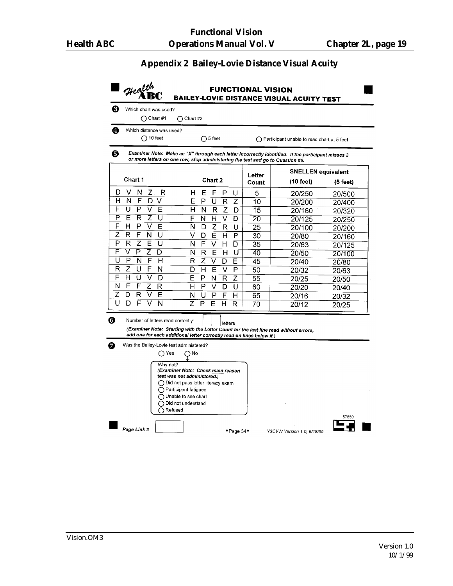# **Appendix 2 Bailey-Lovie Distance Visual Acuity**

| Ð<br>Which distance was used?                                                                     |                                                                                                                                                                                                                                                                                            |                 |                                                      |            |
|---------------------------------------------------------------------------------------------------|--------------------------------------------------------------------------------------------------------------------------------------------------------------------------------------------------------------------------------------------------------------------------------------------|-----------------|------------------------------------------------------|------------|
| $($ ) 10 feet                                                                                     | $\bigcap$ 5 feet                                                                                                                                                                                                                                                                           |                 | $\bigcap$ Participant unable to read chart at 5 feet |            |
| 0                                                                                                 | Examiner Note: Make an "X" through each letter incorrectly identified. If the participant misses 3<br>or more letters on one row, stop administering the test and go to Question #6.                                                                                                       |                 |                                                      |            |
|                                                                                                   |                                                                                                                                                                                                                                                                                            |                 | <b>SNELLEN equivalent</b>                            |            |
| <b>Chart 1</b>                                                                                    | Chart 2                                                                                                                                                                                                                                                                                    | Letter<br>Count | $(10$ feet)                                          | $(5$ feet) |
| D<br>v<br>N<br>Z.<br>R                                                                            | Е<br>F<br>н<br>Р<br>U                                                                                                                                                                                                                                                                      | 5               | 20/250                                               | 20/500     |
| н<br>N<br>F<br>D<br>V                                                                             | Ë<br>P<br>U<br>$\overline{z}$<br>R                                                                                                                                                                                                                                                         | 10              | 20/200                                               | 20/400     |
| F<br>U<br>P<br>V<br>E                                                                             | н<br>N<br>R<br>z<br>D                                                                                                                                                                                                                                                                      | 15              | 20/160                                               | 20/320     |
| P<br>Ε<br>R<br>z<br>U                                                                             | F<br>H<br>N<br>V<br>D                                                                                                                                                                                                                                                                      | 20              | 20/125                                               | 20/250     |
| F<br>P<br>V<br>н<br>Е                                                                             | N<br>Z<br>R<br>D<br>U                                                                                                                                                                                                                                                                      | 25              | 20/100                                               | 20/200     |
| Ž<br>F<br>N<br>R<br>U                                                                             | v<br>D<br>E<br>н<br>P                                                                                                                                                                                                                                                                      | 30              | 20/80                                                | 20/160     |
| Р<br>Z<br>Е<br>R<br>U                                                                             | F<br>ν<br>Н<br>N<br>D                                                                                                                                                                                                                                                                      | 35              | 20/63                                                | 20/125     |
| F<br>V<br>P<br>Z<br>D                                                                             | N<br>R<br>E<br>н<br>υ                                                                                                                                                                                                                                                                      | 40              | 20/50                                                | 20/100     |
| U<br>P<br>N<br>F<br>н                                                                             | R<br>Ž<br>V<br>D<br>Е                                                                                                                                                                                                                                                                      | 45              | 20/40                                                | 20/80      |
| Z<br>R<br>U<br>F<br>N                                                                             | н<br>Е<br>P<br>D<br>v                                                                                                                                                                                                                                                                      | 50              | 20/32                                                | 20/63      |
| F<br>H<br>V<br>U<br>D                                                                             | E<br>P<br>N<br>$\mathsf{R}$<br>Z                                                                                                                                                                                                                                                           | 55              | 20/25                                                | 20/50      |
| Ν<br>Е<br>F<br>Ζ<br>R                                                                             | н<br>P<br>v<br>D<br>U                                                                                                                                                                                                                                                                      | 60              | 20/20                                                | 20/40      |
| Z<br>D<br>Е<br>R<br>v                                                                             | U<br>N<br>P<br>F<br>н                                                                                                                                                                                                                                                                      | 65              | 20/16                                                | 20/32      |
| Ū<br>D<br>F<br>N                                                                                  | Z<br>Р<br>Е<br>н<br>R                                                                                                                                                                                                                                                                      | 70              | 20/12                                                |            |
| Number of letters read correctly:<br>Was the Bailey-Lovie test administered?<br>∩ Yes<br>Why not? | letters<br>(Examiner Note: Starting with the Letter Count for the last line read without errors,<br>add one for each additional letter correctly read on lines below it.)<br>∩№<br>(Examiner Note: Check main reason<br>test was not administered.)<br>◯ Did not pass letter literacy exam |                 |                                                      | 20/25      |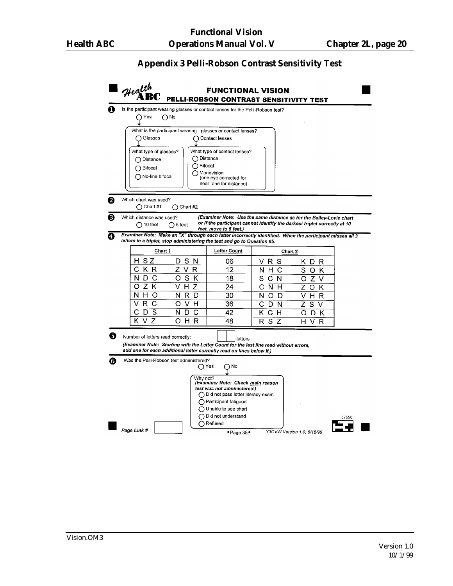#### **Appendix 3 Pelli-Robson Contrast Sensitivity Test**

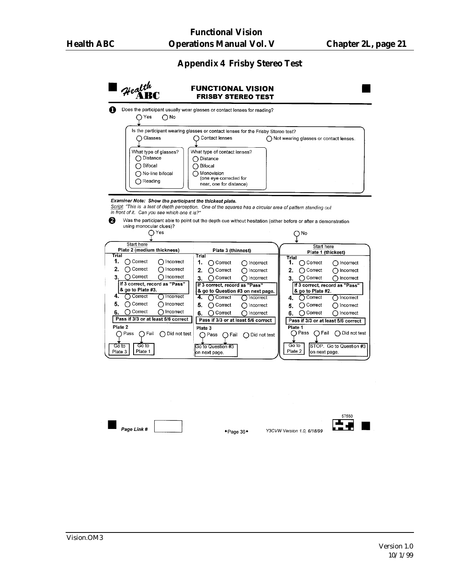# **Appendix 4 Frisby Stereo Test**

| Health<br>Yes<br>∩№                                                                                                                                                                                                                                                                                                                                                                                                                                                  | <b>FRISBY STEREO TEST</b><br>Does the participant usually wear glasses or contact lenses for reading?                                                                                                                                                                                                                                                                                                                                                                                       |                                                                                                                                                                                                                                                                                                                                                                                                                                                                                  |
|----------------------------------------------------------------------------------------------------------------------------------------------------------------------------------------------------------------------------------------------------------------------------------------------------------------------------------------------------------------------------------------------------------------------------------------------------------------------|---------------------------------------------------------------------------------------------------------------------------------------------------------------------------------------------------------------------------------------------------------------------------------------------------------------------------------------------------------------------------------------------------------------------------------------------------------------------------------------------|----------------------------------------------------------------------------------------------------------------------------------------------------------------------------------------------------------------------------------------------------------------------------------------------------------------------------------------------------------------------------------------------------------------------------------------------------------------------------------|
| Glasses<br>What type of glasses?<br>◯ Distance<br>◯ Bifocal<br>◯ No-line bifocal<br>$\bigcap$ Reading<br>Examiner Note: Show the participant the thickest plate.<br>Script: "This is a test of depth perception. One of the squares has a circular area of pattern standing out                                                                                                                                                                                      | Is the participant wearing glasses or contact lenses for the Frisby Stereo test?<br>◯ Contact lenses<br>What type of contact lenses?<br>◯ Distance<br>◯ Bifocal<br>◯ Monovision<br>(one eye corrected for<br>near, one for distance)                                                                                                                                                                                                                                                        | ◯ Not wearing glasses or contact lenses.                                                                                                                                                                                                                                                                                                                                                                                                                                         |
| in front of it. Can you see which one it is?"<br>А<br>using monocular clues)?<br>∩ Yes                                                                                                                                                                                                                                                                                                                                                                               | Was the participant able to point out the depth cue without hesitation (either before or after a demonstration                                                                                                                                                                                                                                                                                                                                                                              | ∩№                                                                                                                                                                                                                                                                                                                                                                                                                                                                               |
| Start here<br>Plate 2 (medium thickness)<br>Trial<br>1.<br>∩ Correct<br>∩ Incorrect<br>∩ Correct<br>2.<br>∩ Incorrect<br>∩ Correct<br>∩ Incorrect<br>3.<br>If 3 correct, record as "Pass"<br>& go to Plate #3.<br>◯ Correct<br>4.<br>∩ Incorrect<br>5.<br>◯ Correct<br>∩ Incorrect<br>$\bigcap$ Correct<br>∩ Incorrect<br>6.<br>Pass if 3/3 or at least 5/6 correct<br>Plate 2<br>$\bigcap$ Pass<br>∩ Fail<br>◯ Did not test<br>Go to<br>Go to<br>Plate 1<br>Plate 3 | Plate 3 (thinnest)<br>Trial<br>1.<br>∩ Correct<br>∩ Incorrect<br>2.<br>$\bigcap$ Correct<br>∩ Incorrect<br>$\bigcap$ Correct<br>3.<br>∩ incorrect<br>If 3 correct, record as "Pass"<br>& go to Question #3 on next page.<br>4.<br>∩ Correct<br>$\bigcap$ Incorrect<br>5.<br>∩ Correct<br>$\bigcap$ Incorrect<br>$\bigcap$ Correct<br>ncorrect<br>6.<br>Pass if 3/3 or at least 5/6 correct<br>Plate 3<br>∩ Pass<br>( ) Fail<br>$\bigcap$ Did not test<br>Go to Question #3<br>on next page. | Start here<br>Plate 1 (thickest)<br>Trial<br>1.<br>∩ Correct<br>∩ Incorrect<br>2.<br>∩ Correct<br>∩ Incorrect<br>$\bigcap$ Correct<br>∩ Incorrect<br>З.<br>If 3 correct, record as "Pass"<br>& go to Plate #2.<br>∩ Correct<br>∩ Incorrect<br>4.<br>◯ Correct<br>5.<br>( ) Incorrect<br>◯ Correct<br>∩ incorrect<br>6.<br>Pass if 3/3 or at least 5/6 correct<br>Plate 1<br>( ) Pass<br>∩ Fail<br>◯ Did not test<br>Go to<br>STOP. Go to Question #3<br>Plate 2<br>on next page. |
| Page Link #                                                                                                                                                                                                                                                                                                                                                                                                                                                          | $+$ Page 36 $+$                                                                                                                                                                                                                                                                                                                                                                                                                                                                             | 57550<br>Y3CVW Version 1.0, 6/18/99                                                                                                                                                                                                                                                                                                                                                                                                                                              |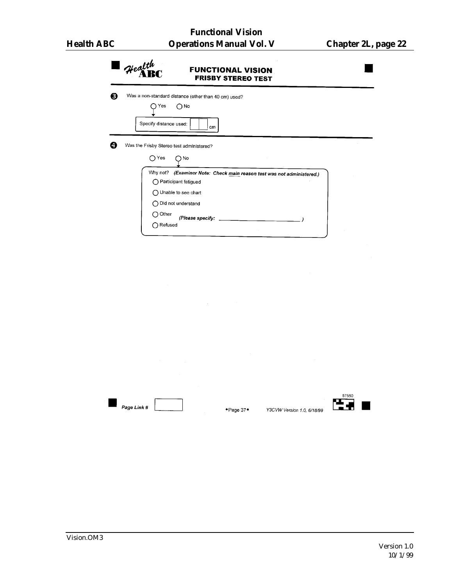| $\mathcal{H}$ ealth                               | <b>FUNCTIONAL VISION</b><br><b>FRISBY STEREO TEST</b>                                |  |
|---------------------------------------------------|--------------------------------------------------------------------------------------|--|
| Yes<br>Specify distance used:                     | Was a non-standard distance (other than 40 cm) used?<br>∩№<br>cm                     |  |
| Was the Frisby Stereo test administered?<br>∩ Yes | $\bigcap$ No                                                                         |  |
| Why not?<br>◯ Participant fatigued                | (Examiner Note: Check main reason test was not administered.)<br>Unable to see chart |  |
| Ω.<br>Other<br>◯ Refused                          | Did not understand<br>(Please specify: ________                                      |  |



+Page 37+

 $\begin{array}{c}\n 57550 \\
\hline\n \end{array}$ 

Y3CVW Version 1.0, 6/18/99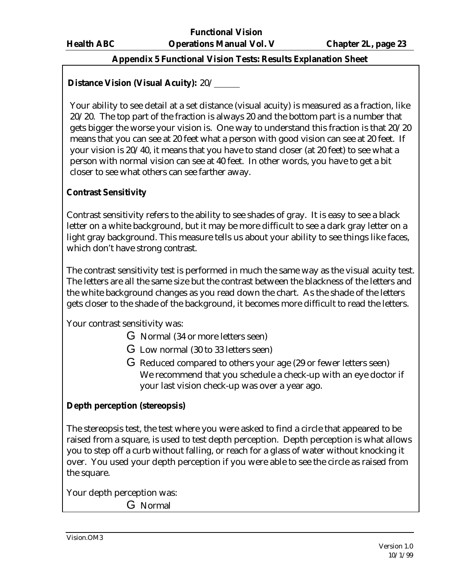# **Appendix 5 Functional Vision Tests: Results Explanation Sheet**

# **Distance Vision (Visual Acuity):** 20/

Your ability to see detail at a set distance (visual acuity) is measured as a fraction, like 20/20. The top part of the fraction is always 20 and the bottom part is a number that gets bigger the worse your vision is. One way to understand this fraction is that 20/20 means that you can see at 20 feet what a person with good vision can see at 20 feet. If your vision is 20/40, it means that you have to stand closer (at 20 feet) to see what a person with normal vision can see at 40 feet. In other words, you have to get a bit closer to see what others can see farther away.

# **Contrast Sensitivity**

Contrast sensitivity refers to the ability to see shades of gray. It is easy to see a black letter on a white background, but it may be more difficult to see a dark gray letter on a light gray background. This measure tells us about your ability to see things like faces, which don't have strong contrast.

The contrast sensitivity test is performed in much the same way as the visual acuity test. The letters are all the same size but the contrast between the blackness of the letters and the white background changes as you read down the chart. As the shade of the letters gets closer to the shade of the background, it becomes more difficult to read the letters.

Your contrast sensitivity was:

- G Normal (34 or more letters seen)
- G Low normal (30 to 33 letters seen)
- G Reduced compared to others your age (29 or fewer letters seen) We recommend that you schedule a check-up with an eye doctor if your last vision check-up was over a year ago.

# **Depth perception (stereopsis)**

The stereopsis test, the test where you were asked to find a circle that appeared to be raised from a square, is used to test depth perception. Depth perception is what allows you to step off a curb without falling, or reach for a glass of water without knocking it over. You used your depth perception if you were able to see the circle as raised from the square.

Your depth perception was:

G Normal